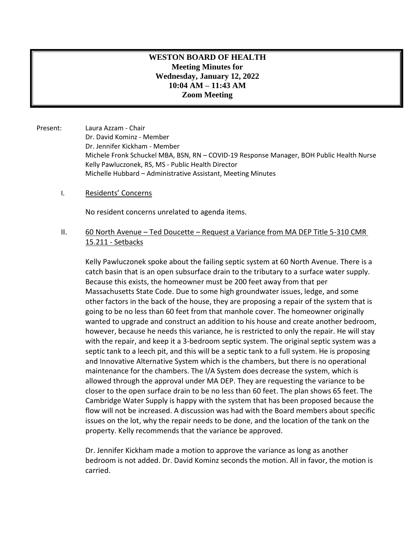# **WESTON BOARD OF HEALTH Meeting Minutes for Wednesday, January 12, 2022 10:04 AM – 11:43 AM Zoom Meeting**

- Present: Laura Azzam Chair Dr. David Kominz - Member Dr. Jennifer Kickham - Member Michele Fronk Schuckel MBA, BSN, RN – COVID-19 Response Manager, BOH Public Health Nurse Kelly Pawluczonek, RS, MS - Public Health Director Michelle Hubbard – Administrative Assistant, Meeting Minutes
	- I. Residents' Concerns

No resident concerns unrelated to agenda items.

## II. 60 North Avenue – Ted Doucette – Request a Variance from MA DEP Title 5-310 CMR 15.211 - Setbacks

Kelly Pawluczonek spoke about the failing septic system at 60 North Avenue. There is a catch basin that is an open subsurface drain to the tributary to a surface water supply. Because this exists, the homeowner must be 200 feet away from that per Massachusetts State Code. Due to some high groundwater issues, ledge, and some other factors in the back of the house, they are proposing a repair of the system that is going to be no less than 60 feet from that manhole cover. The homeowner originally wanted to upgrade and construct an addition to his house and create another bedroom, however, because he needs this variance, he is restricted to only the repair. He will stay with the repair, and keep it a 3-bedroom septic system. The original septic system was a septic tank to a leech pit, and this will be a septic tank to a full system. He is proposing and Innovative Alternative System which is the chambers, but there is no operational maintenance for the chambers. The I/A System does decrease the system, which is allowed through the approval under MA DEP. They are requesting the variance to be closer to the open surface drain to be no less than 60 feet. The plan shows 65 feet. The Cambridge Water Supply is happy with the system that has been proposed because the flow will not be increased. A discussion was had with the Board members about specific issues on the lot, why the repair needs to be done, and the location of the tank on the property. Kelly recommends that the variance be approved.

Dr. Jennifer Kickham made a motion to approve the variance as long as another bedroom is not added. Dr. David Kominz seconds the motion. All in favor, the motion is carried.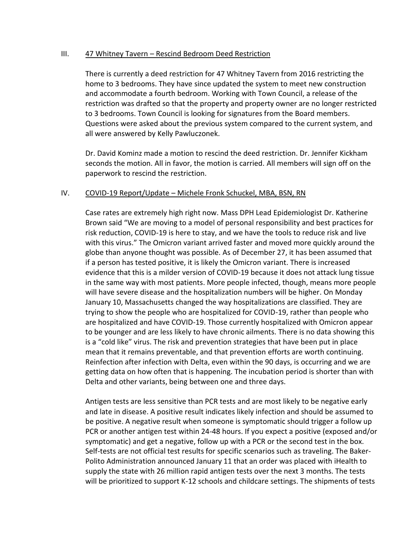## III. 47 Whitney Tavern – Rescind Bedroom Deed Restriction

There is currently a deed restriction for 47 Whitney Tavern from 2016 restricting the home to 3 bedrooms. They have since updated the system to meet new construction and accommodate a fourth bedroom. Working with Town Council, a release of the restriction was drafted so that the property and property owner are no longer restricted to 3 bedrooms. Town Council is looking for signatures from the Board members. Questions were asked about the previous system compared to the current system, and all were answered by Kelly Pawluczonek.

Dr. David Kominz made a motion to rescind the deed restriction. Dr. Jennifer Kickham seconds the motion. All in favor, the motion is carried. All members will sign off on the paperwork to rescind the restriction.

## IV. COVID-19 Report/Update – Michele Fronk Schuckel, MBA, BSN, RN

Case rates are extremely high right now. Mass DPH Lead Epidemiologist Dr. Katherine Brown said "We are moving to a model of personal responsibility and best practices for risk reduction, COVID-19 is here to stay, and we have the tools to reduce risk and live with this virus." The Omicron variant arrived faster and moved more quickly around the globe than anyone thought was possible. As of December 27, it has been assumed that if a person has tested positive, it is likely the Omicron variant. There is increased evidence that this is a milder version of COVID-19 because it does not attack lung tissue in the same way with most patients. More people infected, though, means more people will have severe disease and the hospitalization numbers will be higher. On Monday January 10, Massachusetts changed the way hospitalizations are classified. They are trying to show the people who are hospitalized for COVID-19, rather than people who are hospitalized and have COVID-19. Those currently hospitalized with Omicron appear to be younger and are less likely to have chronic ailments. There is no data showing this is a "cold like" virus. The risk and prevention strategies that have been put in place mean that it remains preventable, and that prevention efforts are worth continuing. Reinfection after infection with Delta, even within the 90 days, is occurring and we are getting data on how often that is happening. The incubation period is shorter than with Delta and other variants, being between one and three days.

Antigen tests are less sensitive than PCR tests and are most likely to be negative early and late in disease. A positive result indicates likely infection and should be assumed to be positive. A negative result when someone is symptomatic should trigger a follow up PCR or another antigen test within 24-48 hours. If you expect a positive (exposed and/or symptomatic) and get a negative, follow up with a PCR or the second test in the box. Self-tests are not official test results for specific scenarios such as traveling. The Baker-Polito Administration announced January 11 that an order was placed with iHealth to supply the state with 26 million rapid antigen tests over the next 3 months. The tests will be prioritized to support K-12 schools and childcare settings. The shipments of tests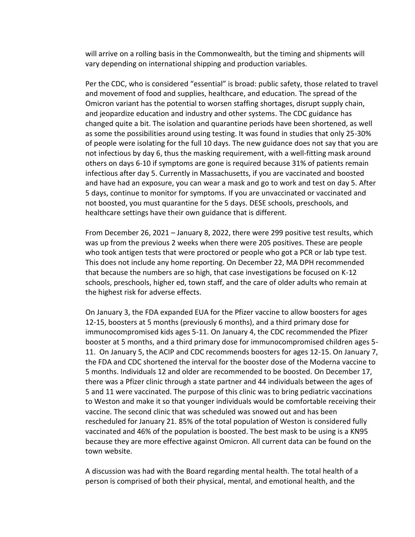will arrive on a rolling basis in the Commonwealth, but the timing and shipments will vary depending on international shipping and production variables.

Per the CDC, who is considered "essential" is broad: public safety, those related to travel and movement of food and supplies, healthcare, and education. The spread of the Omicron variant has the potential to worsen staffing shortages, disrupt supply chain, and jeopardize education and industry and other systems. The CDC guidance has changed quite a bit. The isolation and quarantine periods have been shortened, as well as some the possibilities around using testing. It was found in studies that only 25-30% of people were isolating for the full 10 days. The new guidance does not say that you are not infectious by day 6, thus the masking requirement, with a well-fitting mask around others on days 6-10 if symptoms are gone is required because 31% of patients remain infectious after day 5. Currently in Massachusetts, if you are vaccinated and boosted and have had an exposure, you can wear a mask and go to work and test on day 5. After 5 days, continue to monitor for symptoms. If you are unvaccinated or vaccinated and not boosted, you must quarantine for the 5 days. DESE schools, preschools, and healthcare settings have their own guidance that is different.

From December 26, 2021 – January 8, 2022, there were 299 positive test results, which was up from the previous 2 weeks when there were 205 positives. These are people who took antigen tests that were proctored or people who got a PCR or lab type test. This does not include any home reporting. On December 22, MA DPH recommended that because the numbers are so high, that case investigations be focused on K-12 schools, preschools, higher ed, town staff, and the care of older adults who remain at the highest risk for adverse effects.

On January 3, the FDA expanded EUA for the Pfizer vaccine to allow boosters for ages 12-15, boosters at 5 months (previously 6 months), and a third primary dose for immunocompromised kids ages 5-11. On January 4, the CDC recommended the Pfizer booster at 5 months, and a third primary dose for immunocompromised children ages 5- 11. On January 5, the ACIP and CDC recommends boosters for ages 12-15. On January 7, the FDA and CDC shortened the interval for the booster dose of the Moderna vaccine to 5 months. Individuals 12 and older are recommended to be boosted. On December 17, there was a Pfizer clinic through a state partner and 44 individuals between the ages of 5 and 11 were vaccinated. The purpose of this clinic was to bring pediatric vaccinations to Weston and make it so that younger individuals would be comfortable receiving their vaccine. The second clinic that was scheduled was snowed out and has been rescheduled for January 21. 85% of the total population of Weston is considered fully vaccinated and 46% of the population is boosted. The best mask to be using is a KN95 because they are more effective against Omicron. All current data can be found on the town website.

A discussion was had with the Board regarding mental health. The total health of a person is comprised of both their physical, mental, and emotional health, and the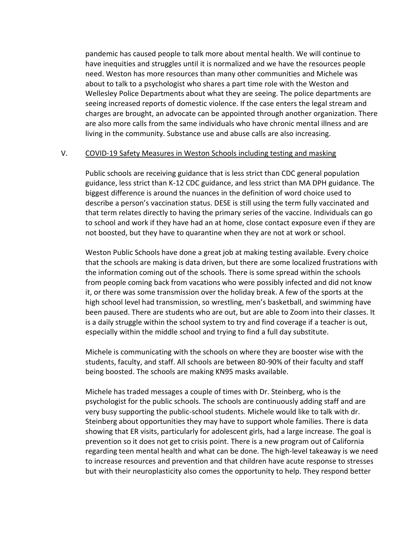pandemic has caused people to talk more about mental health. We will continue to have inequities and struggles until it is normalized and we have the resources people need. Weston has more resources than many other communities and Michele was about to talk to a psychologist who shares a part time role with the Weston and Wellesley Police Departments about what they are seeing. The police departments are seeing increased reports of domestic violence. If the case enters the legal stream and charges are brought, an advocate can be appointed through another organization. There are also more calls from the same individuals who have chronic mental illness and are living in the community. Substance use and abuse calls are also increasing.

#### V. COVID-19 Safety Measures in Weston Schools including testing and masking

Public schools are receiving guidance that is less strict than CDC general population guidance, less strict than K-12 CDC guidance, and less strict than MA DPH guidance. The biggest difference is around the nuances in the definition of word choice used to describe a person's vaccination status. DESE is still using the term fully vaccinated and that term relates directly to having the primary series of the vaccine. Individuals can go to school and work if they have had an at home, close contact exposure even if they are not boosted, but they have to quarantine when they are not at work or school.

Weston Public Schools have done a great job at making testing available. Every choice that the schools are making is data driven, but there are some localized frustrations with the information coming out of the schools. There is some spread within the schools from people coming back from vacations who were possibly infected and did not know it, or there was some transmission over the holiday break. A few of the sports at the high school level had transmission, so wrestling, men's basketball, and swimming have been paused. There are students who are out, but are able to Zoom into their classes. It is a daily struggle within the school system to try and find coverage if a teacher is out, especially within the middle school and trying to find a full day substitute.

Michele is communicating with the schools on where they are booster wise with the students, faculty, and staff. All schools are between 80-90% of their faculty and staff being boosted. The schools are making KN95 masks available.

Michele has traded messages a couple of times with Dr. Steinberg, who is the psychologist for the public schools. The schools are continuously adding staff and are very busy supporting the public-school students. Michele would like to talk with dr. Steinberg about opportunities they may have to support whole families. There is data showing that ER visits, particularly for adolescent girls, had a large increase. The goal is prevention so it does not get to crisis point. There is a new program out of California regarding teen mental health and what can be done. The high-level takeaway is we need to increase resources and prevention and that children have acute response to stresses but with their neuroplasticity also comes the opportunity to help. They respond better